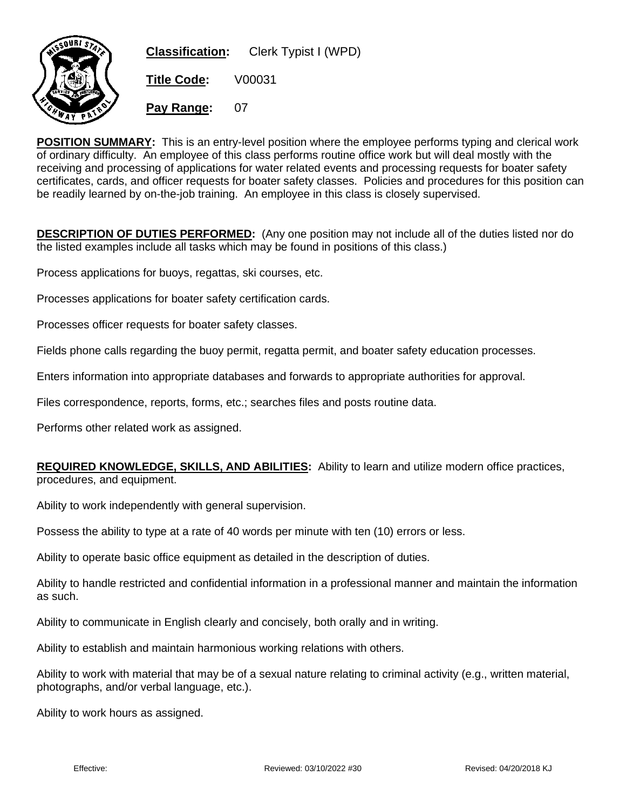

**POSITION SUMMARY:** This is an entry-level position where the employee performs typing and clerical work of ordinary difficulty. An employee of this class performs routine office work but will deal mostly with the receiving and processing of applications for water related events and processing requests for boater safety certificates, cards, and officer requests for boater safety classes. Policies and procedures for this position can be readily learned by on-the-job training. An employee in this class is closely supervised.

**DESCRIPTION OF DUTIES PERFORMED:** (Any one position may not include all of the duties listed nor do the listed examples include all tasks which may be found in positions of this class.)

Process applications for buoys, regattas, ski courses, etc.

Processes applications for boater safety certification cards.

Processes officer requests for boater safety classes.

Fields phone calls regarding the buoy permit, regatta permit, and boater safety education processes.

Enters information into appropriate databases and forwards to appropriate authorities for approval.

Files correspondence, reports, forms, etc.; searches files and posts routine data.

Performs other related work as assigned.

## **REQUIRED KNOWLEDGE, SKILLS, AND ABILITIES:** Ability to learn and utilize modern office practices, procedures, and equipment.

Ability to work independently with general supervision.

Possess the ability to type at a rate of 40 words per minute with ten (10) errors or less.

Ability to operate basic office equipment as detailed in the description of duties.

Ability to handle restricted and confidential information in a professional manner and maintain the information as such.

Ability to communicate in English clearly and concisely, both orally and in writing.

Ability to establish and maintain harmonious working relations with others.

Ability to work with material that may be of a sexual nature relating to criminal activity (e.g., written material, photographs, and/or verbal language, etc.).

Ability to work hours as assigned.